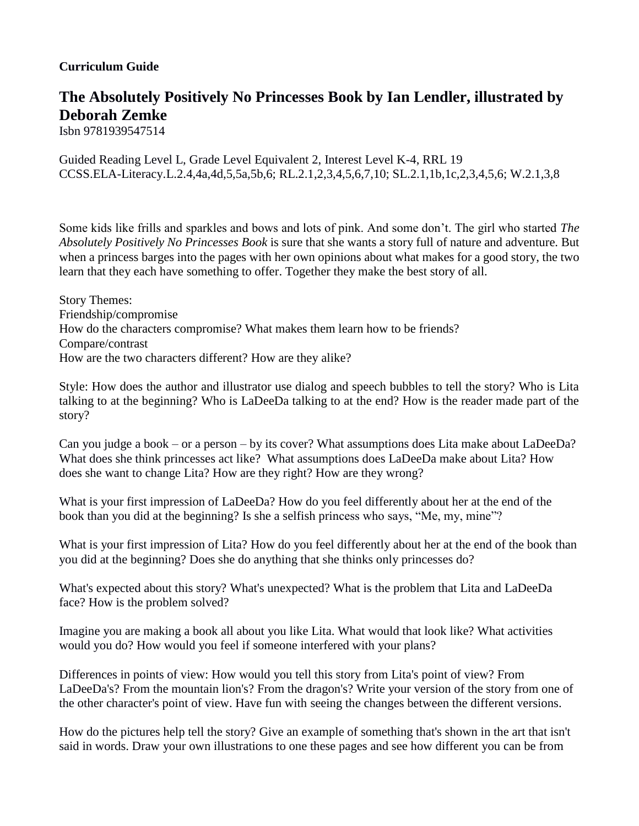## **Curriculum Guide**

## **The Absolutely Positively No Princesses Book by Ian Lendler, illustrated by Deborah Zemke**

Isbn 9781939547514

Guided Reading Level L, Grade Level Equivalent 2, Interest Level K-4, RRL 19 CCSS.ELA-Literacy.L.2.4,4a,4d,5,5a,5b,6; RL.2.1,2,3,4,5,6,7,10; SL.2.1,1b,1c,2,3,4,5,6; W.2.1,3,8

Some kids like frills and sparkles and bows and lots of pink. And some don't. The girl who started *The Absolutely Positively No Princesses Book* is sure that she wants a story full of nature and adventure. But when a princess barges into the pages with her own opinions about what makes for a good story, the two learn that they each have something to offer. Together they make the best story of all.

Story Themes: Friendship/compromise How do the characters compromise? What makes them learn how to be friends? Compare/contrast How are the two characters different? How are they alike?

Style: How does the author and illustrator use dialog and speech bubbles to tell the story? Who is Lita talking to at the beginning? Who is LaDeeDa talking to at the end? How is the reader made part of the story?

Can you judge a book – or a person – by its cover? What assumptions does Lita make about LaDeeDa? What does she think princesses act like? What assumptions does LaDeeDa make about Lita? How does she want to change Lita? How are they right? How are they wrong?

What is your first impression of LaDeeDa? How do you feel differently about her at the end of the book than you did at the beginning? Is she a selfish princess who says, "Me, my, mine"?

What is your first impression of Lita? How do you feel differently about her at the end of the book than you did at the beginning? Does she do anything that she thinks only princesses do?

What's expected about this story? What's unexpected? What is the problem that Lita and LaDeeDa face? How is the problem solved?

Imagine you are making a book all about you like Lita. What would that look like? What activities would you do? How would you feel if someone interfered with your plans?

Differences in points of view: How would you tell this story from Lita's point of view? From LaDeeDa's? From the mountain lion's? From the dragon's? Write your version of the story from one of the other character's point of view. Have fun with seeing the changes between the different versions.

How do the pictures help tell the story? Give an example of something that's shown in the art that isn't said in words. Draw your own illustrations to one these pages and see how different you can be from